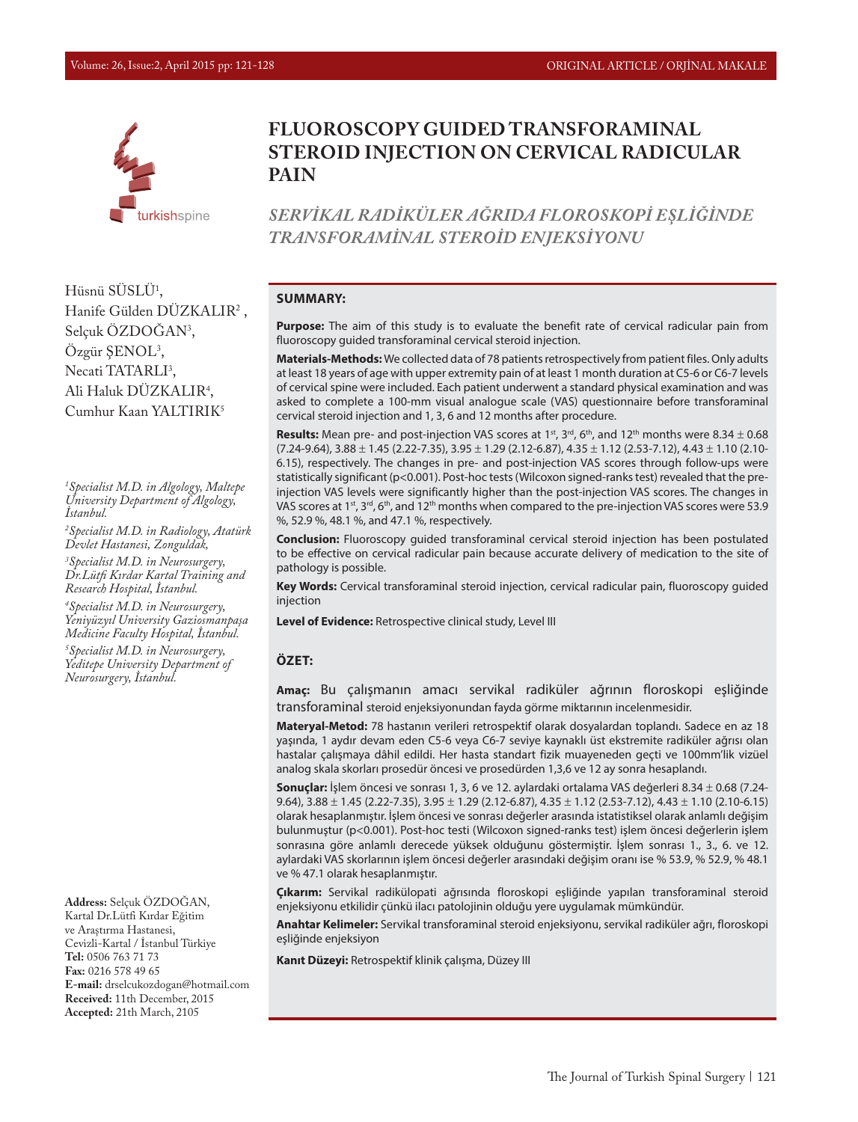

# **FLUOROSCOPY GUIDED TRANSFORAMINAL STEROID INJECTION ON CERVICAL RADICULAR PAIN**

*SERVİKAL RADİKÜLER AĞRIDA FLOROSKOPİ EŞLİĞİNDE TRANSFORAMİNAL STEROİD ENJEKSİYONU*

Hüsnü SUSLU<sup>1</sup>, Hanife Gülden DÜZKALIR2 , Selçuk ÖZDOGAN<sup>3</sup>, Ozgür ŞENOL<sup>3</sup>, Necati TATARLI<sup>3</sup>, Ali Haluk DUZKALIR<sup>4</sup>, Cumhur Kaan YALTIRIK5

*1 Specialist M.D. in Algology, Maltepe University Department of Algology, İstanbul.*

*2 Specialist M.D. in Radiology, Atatürk Devlet Hastanesi, Zonguldak,* 

*3 Specialist M.D. in Neurosurgery, Dr.Lütfi Kırdar Kartal Training and Research Hospital, İstanbul.* 

*4 Specialist M.D. in Neurosurgery, Yeniyüzyıl University Gaziosmanpaşa Medicine Faculty Hospital, İstanbul.*

*5 Specialist M.D. in Neurosurgery, Yeditepe University Department of Neurosurgery, İstanbul.* 

**Address:** Selçuk ÖZDOĞAN, Kartal Dr.Lütfi Kırdar Eğitim ve Araştırma Hastanesi, Cevizli-Kartal / İstanbul Türkiye **Tel:** 0506 763 71 73 **Fax:** 0216 578 49 65 **E-mail:** drselcukozdogan@hotmail.com **Received:** 11th December, 2015 **Accepted:** 21th March, 2105

#### **SUMMARY:**

**Purpose:** The aim of this study is to evaluate the benefit rate of cervical radicular pain from fluoroscopy guided transforaminal cervical steroid injection.

**Materials-Methods:** We collected data of 78 patients retrospectively from patient files. Only adults at least 18 years of age with upper extremity pain of at least 1 month duration at C5-6 or C6-7 levels of cervical spine were included. Each patient underwent a standard physical examination and was asked to complete a 100-mm visual analogue scale (VAS) questionnaire before transforaminal cervical steroid injection and 1, 3, 6 and 12 months after procedure.

**Results:** Mean pre- and post-injection VAS scores at 1<sup>st</sup>, 3<sup>rd</sup>, 6<sup>th</sup>, and 12<sup>th</sup> months were 8.34  $\pm$  0.68  $(7.24-9.64), 3.88 \pm 1.45$   $(2.22-7.35), 3.95 \pm 1.29$   $(2.12-6.87), 4.35 \pm 1.12$   $(2.53-7.12), 4.43 \pm 1.10$   $(2.10-7.12),$ 6.15), respectively. The changes in pre- and post-injection VAS scores through follow-ups were statistically significant (p<0.001). Post-hoc tests (Wilcoxon signed-ranks test) revealed that the preinjection VAS levels were significantly higher than the post-injection VAS scores. The changes in VAS scores at 1<sup>st</sup>, 3<sup>rd</sup>, 6<sup>th</sup>, and 12<sup>th</sup> months when compared to the pre-injection VAS scores were 53.9 %, 52.9 %, 48.1 %, and 47.1 %, respectively.

**Conclusion:** Fluoroscopy guided transforaminal cervical steroid injection has been postulated to be effective on cervical radicular pain because accurate delivery of medication to the site of pathology is possible.

**Key Words:** Cervical transforaminal steroid injection, cervical radicular pain, fluoroscopy guided injection

**Level of Evidence:** Retrospective clinical study, Level III

#### **ÖZET:**

**Amaç:** Bu çalışmanın amacı servikal radiküler ağrının floroskopi eşliğinde transforaminal steroid enjeksiyonundan fayda görme miktarının incelenmesidir.

**Materyal-Metod:** 78 hastanın verileri retrospektif olarak dosyalardan toplandı. Sadece en az 18 yaşında, 1 aydır devam eden C5-6 veya C6-7 seviye kaynaklı üst ekstremite radiküler ağrısı olan hastalar çalışmaya dâhil edildi. Her hasta standart fizik muayeneden geçti ve 100mm'lik vizüel analog skala skorları prosedür öncesi ve prosedürden 1,3,6 ve 12 ay sonra hesaplandı.

**Sonuçlar:** İşlem öncesi ve sonrası 1, 3, 6 ve 12. aylardaki ortalama VAS değerleri 8.34 ± 0.68 (7.24- 9.64),  $3.88 \pm 1.45$  (2.22-7.35),  $3.95 \pm 1.29$  (2.12-6.87),  $4.35 \pm 1.12$  (2.53-7.12),  $4.43 \pm 1.10$  (2.10-6.15) olarak hesaplanmıştır. İşlem öncesi ve sonrası değerler arasında istatistiksel olarak anlamlı değişim bulunmuştur (p<0.001). Post-hoc testi (Wilcoxon signed-ranks test) işlem öncesi değerlerin işlem sonrasına göre anlamlı derecede yüksek olduğunu göstermiştir. İşlem sonrası 1., 3., 6. ve 12. aylardaki VAS skorlarının işlem öncesi değerler arasındaki değişim oranı ise % 53.9, % 52.9, % 48.1 ve % 47.1 olarak hesaplanmıştır.

**Çıkarım:** Servikal radikülopati ağrısında floroskopi eşliğinde yapılan transforaminal steroid enjeksiyonu etkilidir çünkü ilacı patolojinin olduğu yere uygulamak mümkündür.

**Anahtar Kelimeler:** Servikal transforaminal steroid enjeksiyonu, servikal radiküler ağrı, floroskopi eşliğinde enjeksiyon

**Kanıt Düzeyi:** Retrospektif klinik çalışma, Düzey III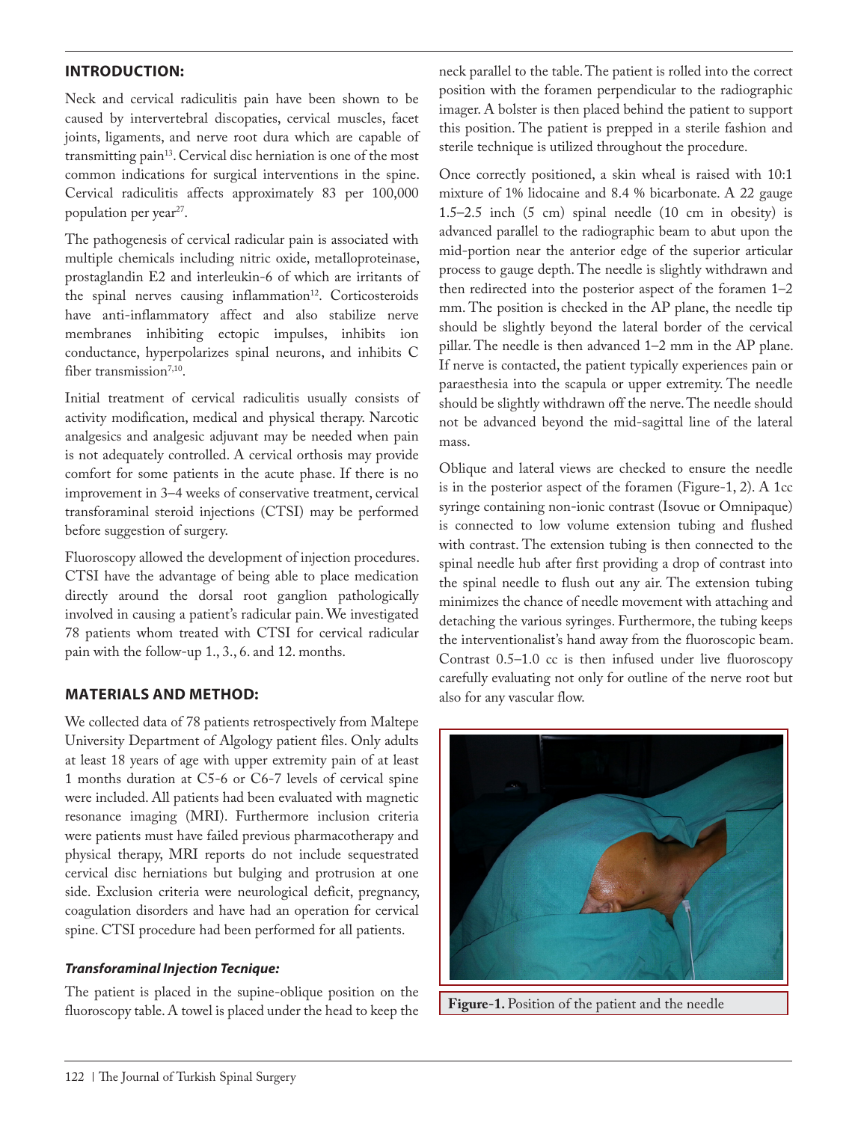# **INTRODUCTION:**

Neck and cervical radiculitis pain have been shown to be caused by intervertebral discopaties, cervical muscles, facet joints, ligaments, and nerve root dura which are capable of transmitting pain<sup>13</sup>. Cervical disc herniation is one of the most common indications for surgical interventions in the spine. Cervical radiculitis affects approximately 83 per 100,000 population per year<sup>27</sup>.

The pathogenesis of cervical radicular pain is associated with multiple chemicals including nitric oxide, metalloproteinase, prostaglandin E2 and interleukin-6 of which are irritants of the spinal nerves causing inflammation<sup>12</sup>. Corticosteroids have anti-inflammatory affect and also stabilize nerve membranes inhibiting ectopic impulses, inhibits ion conductance, hyperpolarizes spinal neurons, and inhibits C fiber transmission<sup>7,10</sup>.

Initial treatment of cervical radiculitis usually consists of activity modification, medical and physical therapy. Narcotic analgesics and analgesic adjuvant may be needed when pain is not adequately controlled. A cervical orthosis may provide comfort for some patients in the acute phase. If there is no improvement in 3–4 weeks of conservative treatment, cervical transforaminal steroid injections (CTSI) may be performed before suggestion of surgery.

Fluoroscopy allowed the development of injection procedures. CTSI have the advantage of being able to place medication directly around the dorsal root ganglion pathologically involved in causing a patient's radicular pain. We investigated 78 patients whom treated with CTSI for cervical radicular pain with the follow-up 1., 3., 6. and 12. months.

### **MATERIALS AND METHOD:**

We collected data of 78 patients retrospectively from Maltepe University Department of Algology patient files. Only adults at least 18 years of age with upper extremity pain of at least 1 months duration at C5-6 or C6-7 levels of cervical spine were included. All patients had been evaluated with magnetic resonance imaging (MRI). Furthermore inclusion criteria were patients must have failed previous pharmacotherapy and physical therapy, MRI reports do not include sequestrated cervical disc herniations but bulging and protrusion at one side. Exclusion criteria were neurological deficit, pregnancy, coagulation disorders and have had an operation for cervical spine. CTSI procedure had been performed for all patients.

#### *Transforaminal Injection Tecnique:*

The patient is placed in the supine-oblique position on the fluoroscopy table. A towel is placed under the head to keep the

neck parallel to the table. The patient is rolled into the correct position with the foramen perpendicular to the radiographic imager. A bolster is then placed behind the patient to support this position. The patient is prepped in a sterile fashion and sterile technique is utilized throughout the procedure.

Once correctly positioned, a skin wheal is raised with 10:1 mixture of 1% lidocaine and 8.4 % bicarbonate. A 22 gauge 1.5–2.5 inch (5 cm) spinal needle (10 cm in obesity) is advanced parallel to the radiographic beam to abut upon the mid-portion near the anterior edge of the superior articular process to gauge depth. The needle is slightly withdrawn and then redirected into the posterior aspect of the foramen 1–2 mm. The position is checked in the AP plane, the needle tip should be slightly beyond the lateral border of the cervical pillar. The needle is then advanced 1–2 mm in the AP plane. If nerve is contacted, the patient typically experiences pain or paraesthesia into the scapula or upper extremity. The needle should be slightly withdrawn off the nerve. The needle should not be advanced beyond the mid-sagittal line of the lateral mass.

Oblique and lateral views are checked to ensure the needle is in the posterior aspect of the foramen (Figure-1, 2). A 1cc syringe containing non-ionic contrast (Isovue or Omnipaque) is connected to low volume extension tubing and flushed with contrast. The extension tubing is then connected to the spinal needle hub after first providing a drop of contrast into the spinal needle to flush out any air. The extension tubing minimizes the chance of needle movement with attaching and detaching the various syringes. Furthermore, the tubing keeps the interventionalist's hand away from the fluoroscopic beam. Contrast 0.5–1.0 cc is then infused under live fluoroscopy carefully evaluating not only for outline of the nerve root but also for any vascular flow.



**Figure-1.** Position of the patient and the needle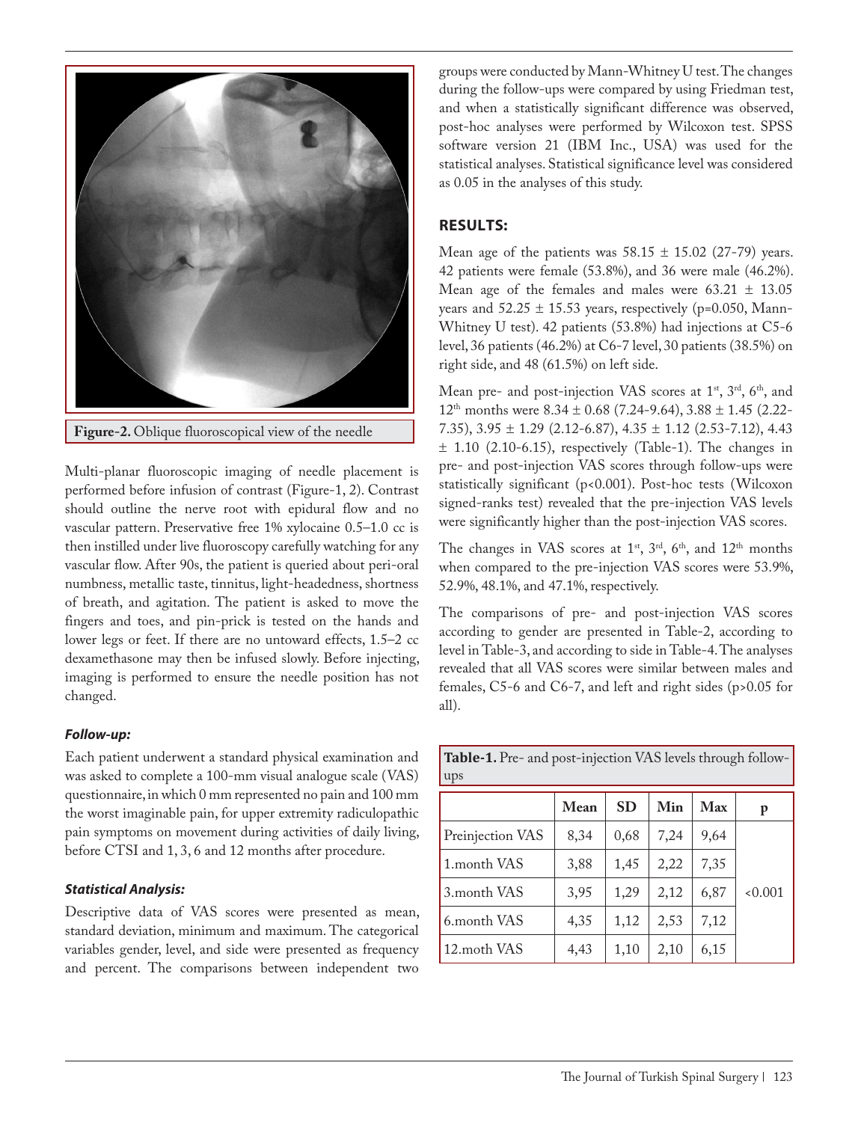

**Figure-2.** Oblique fluoroscopical view of the needle

Multi-planar fluoroscopic imaging of needle placement is performed before infusion of contrast (Figure-1, 2). Contrast should outline the nerve root with epidural flow and no vascular pattern. Preservative free 1% xylocaine 0.5–1.0 cc is then instilled under live fluoroscopy carefully watching for any vascular flow. After 90s, the patient is queried about peri-oral numbness, metallic taste, tinnitus, light-headedness, shortness of breath, and agitation. The patient is asked to move the fingers and toes, and pin-prick is tested on the hands and lower legs or feet. If there are no untoward effects, 1.5–2 cc dexamethasone may then be infused slowly. Before injecting, imaging is performed to ensure the needle position has not changed.

#### *Follow-up:*

Each patient underwent a standard physical examination and was asked to complete a 100-mm visual analogue scale (VAS) questionnaire, in which 0 mm represented no pain and 100 mm the worst imaginable pain, for upper extremity radiculopathic pain symptoms on movement during activities of daily living, before CTSI and 1, 3, 6 and 12 months after procedure.

### *Statistical Analysis:*

Descriptive data of VAS scores were presented as mean, standard deviation, minimum and maximum. The categorical variables gender, level, and side were presented as frequency and percent. The comparisons between independent two

groups were conducted by Mann-Whitney U test. The changes during the follow-ups were compared by using Friedman test, and when a statistically significant difference was observed, post-hoc analyses were performed by Wilcoxon test. SPSS software version 21 (IBM Inc., USA) was used for the statistical analyses. Statistical significance level was considered as 0.05 in the analyses of this study.

# **RESULTS:**

Mean age of the patients was  $58.15 \pm 15.02$  (27-79) years. 42 patients were female (53.8%), and 36 were male (46.2%). Mean age of the females and males were  $63.21 \pm 13.05$ years and  $52.25 \pm 15.53$  years, respectively (p=0.050, Mann-Whitney U test). 42 patients (53.8%) had injections at C5-6 level, 36 patients (46.2%) at C6-7 level, 30 patients (38.5%) on right side, and 48 (61.5%) on left side.

Mean pre- and post-injection VAS scores at  $1<sup>st</sup>$ ,  $3<sup>rd</sup>$ ,  $6<sup>th</sup>$ , and  $12<sup>th</sup>$  months were  $8.34 \pm 0.68$  (7.24-9.64),  $3.88 \pm 1.45$  (2.22-7.35),  $3.95 \pm 1.29$  (2.12-6.87),  $4.35 \pm 1.12$  (2.53-7.12),  $4.43$  $\pm$  1.10 (2.10-6.15), respectively (Table-1). The changes in pre- and post-injection VAS scores through follow-ups were statistically significant (p<0.001). Post-hoc tests (Wilcoxon signed-ranks test) revealed that the pre-injection VAS levels were significantly higher than the post-injection VAS scores.

The changes in VAS scores at  $1<sup>st</sup>$ ,  $3<sup>rd</sup>$ ,  $6<sup>th</sup>$ , and  $12<sup>th</sup>$  months when compared to the pre-injection VAS scores were 53.9%, 52.9%, 48.1%, and 47.1%, respectively.

The comparisons of pre- and post-injection VAS scores according to gender are presented in Table-2, according to level in Table-3, and according to side in Table-4. The analyses revealed that all VAS scores were similar between males and females, C5-6 and C6-7, and left and right sides (p>0.05 for all).

| ups              |      |           |      |      |       |  |  |  |
|------------------|------|-----------|------|------|-------|--|--|--|
|                  | Mean | <b>SD</b> | Min  | Max  | p     |  |  |  |
| Preinjection VAS | 8,34 | 0,68      | 7,24 | 9,64 |       |  |  |  |
| 1. month VAS     | 3,88 | 1,45      | 2,22 | 7,35 |       |  |  |  |
| 3. month VAS     | 3,95 | 1,29      | 2,12 | 6,87 | 0.001 |  |  |  |
| 6.month VAS      | 4,35 | 1,12      | 2,53 | 7,12 |       |  |  |  |
| 12. moth VAS     | 4,43 | 1,10      | 2,10 | 6,15 |       |  |  |  |

| <b>Table-1.</b> Pre- and post-injection VAS levels through follow-<br>ups |      |  |                  |      |  |  |  |  |
|---------------------------------------------------------------------------|------|--|------------------|------|--|--|--|--|
|                                                                           | Mean |  | $SD$   Min   Max |      |  |  |  |  |
| Preinjection VAS                                                          | 8,34 |  | $0,68$   7,24    | 9,64 |  |  |  |  |
|                                                                           | 0.00 |  | 222              |      |  |  |  |  |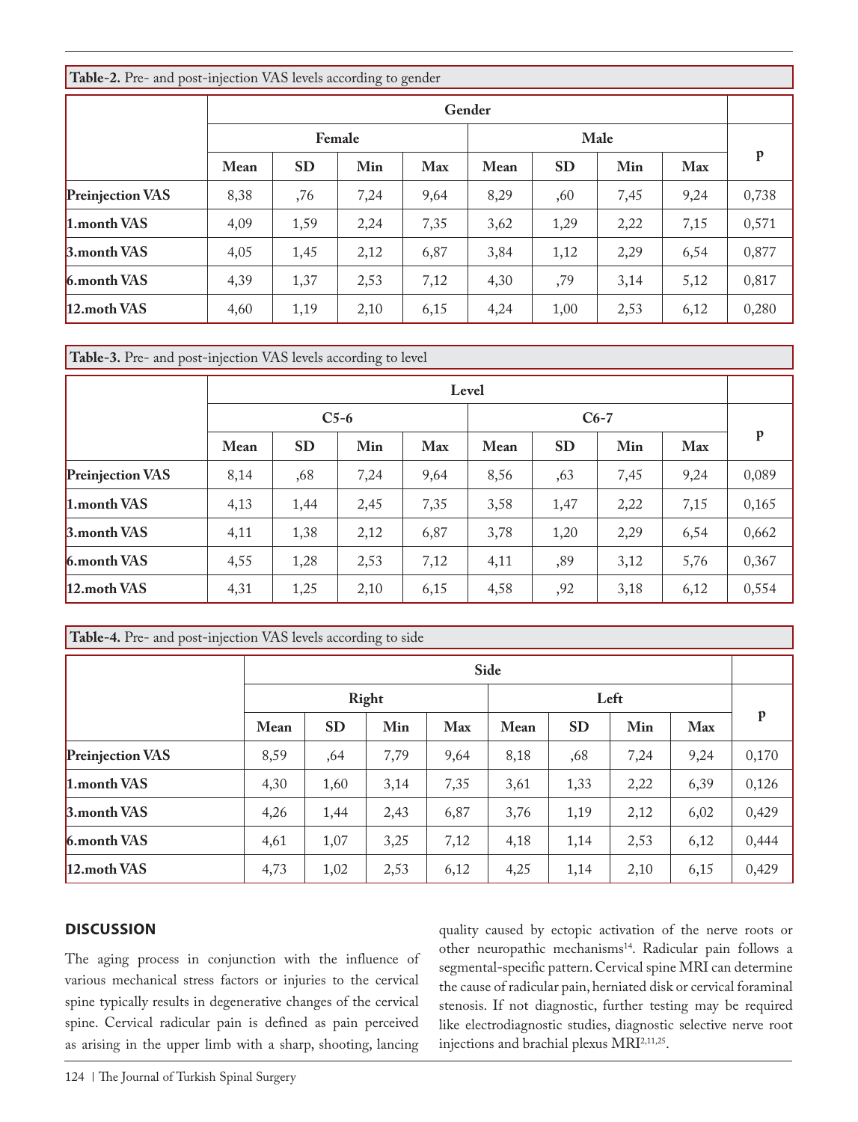| Table-2. Pre- and post-injection VAS levels according to gender |                |           |      |      |      |           |      |      |              |
|-----------------------------------------------------------------|----------------|-----------|------|------|------|-----------|------|------|--------------|
|                                                                 | Gender         |           |      |      |      |           |      |      |              |
|                                                                 | Male<br>Female |           |      |      |      |           |      |      |              |
|                                                                 | <b>Mean</b>    | <b>SD</b> | Min  | Max  | Mean | <b>SD</b> | Min  | Max  | $\mathbf{p}$ |
| <b>Preinjection VAS</b>                                         | 8,38           | ,76       | 7,24 | 9,64 | 8,29 | ,60       | 7,45 | 9,24 | 0,738        |
| 1.month VAS                                                     | 4,09           | 1,59      | 2,24 | 7,35 | 3,62 | 1,29      | 2,22 | 7,15 | 0,571        |
| 3.month VAS                                                     | 4,05           | 1,45      | 2,12 | 6,87 | 3,84 | 1,12      | 2,29 | 6,54 | 0,877        |
| 6.month VAS                                                     | 4,39           | 1,37      | 2,53 | 7,12 | 4,30 | ,79       | 3,14 | 5,12 | 0,817        |
| 12.moth VAS                                                     | 4,60           | 1,19      | 2,10 | 6,15 | 4,24 | 1,00      | 2,53 | 6,12 | 0,280        |

**Table-3.** Pre- and post-injection VAS levels according to level

|                         | Level |           |        |            |      |           |      |      |       |
|-------------------------|-------|-----------|--------|------------|------|-----------|------|------|-------|
|                         |       |           | $C5-6$ |            |      |           |      |      |       |
|                         | Mean  | <b>SD</b> | Min    | <b>Max</b> | Mean | <b>SD</b> | Min  | Max  | p     |
| <b>Preinjection VAS</b> | 8,14  | ,68       | 7,24   | 9,64       | 8,56 | ,63       | 7,45 | 9,24 | 0,089 |
| 1.month VAS             | 4,13  | 1,44      | 2,45   | 7,35       | 3,58 | 1,47      | 2,22 | 7,15 | 0,165 |
| 3.month VAS             | 4,11  | 1,38      | 2,12   | 6,87       | 3,78 | 1,20      | 2,29 | 6,54 | 0,662 |
| 6.month VAS             | 4,55  | 1,28      | 2,53   | 7,12       | 4,11 | ,89       | 3,12 | 5,76 | 0,367 |
| 12. moth VAS            | 4,31  | 1,25      | 2,10   | 6,15       | 4,58 | ,92       | 3,18 | 6,12 | 0,554 |

| <b>Table-4.</b> Pre- and post-injection VAS levels according to side |               |           |      |      |      |           |      |      |       |  |  |
|----------------------------------------------------------------------|---------------|-----------|------|------|------|-----------|------|------|-------|--|--|
|                                                                      | Side          |           |      |      |      |           |      |      |       |  |  |
|                                                                      | Right<br>Left |           |      |      |      |           |      |      |       |  |  |
|                                                                      | Mean          | <b>SD</b> | Min  | Max  | Mean | <b>SD</b> | Min  | Max  | p     |  |  |
| <b>Preinjection VAS</b>                                              | 8,59          | ,64       | 7,79 | 9,64 | 8,18 | ,68       | 7,24 | 9,24 | 0,170 |  |  |
| 1.month VAS                                                          | 4,30          | 1,60      | 3,14 | 7,35 | 3,61 | 1,33      | 2,22 | 6,39 | 0,126 |  |  |
| 3. month VAS                                                         | 4,26          | 1,44      | 2,43 | 6,87 | 3,76 | 1,19      | 2,12 | 6,02 | 0,429 |  |  |
| 6.month VAS                                                          | 4,61          | 1,07      | 3,25 | 7,12 | 4,18 | 1,14      | 2,53 | 6,12 | 0,444 |  |  |
| 12.moth VAS                                                          | 4,73          | 1,02      | 2,53 | 6,12 | 4,25 | 1,14      | 2,10 | 6,15 | 0,429 |  |  |

# **DISCUSSION**

The aging process in conjunction with the influence of various mechanical stress factors or injuries to the cervical spine typically results in degenerative changes of the cervical spine. Cervical radicular pain is defined as pain perceived as arising in the upper limb with a sharp, shooting, lancing

quality caused by ectopic activation of the nerve roots or other neuropathic mechanisms<sup>14</sup>. Radicular pain follows a segmental-specific pattern. Cervical spine MRI can determine the cause of radicular pain, herniated disk or cervical foraminal stenosis. If not diagnostic, further testing may be required like electrodiagnostic studies, diagnostic selective nerve root injections and brachial plexus MRI2,11,25.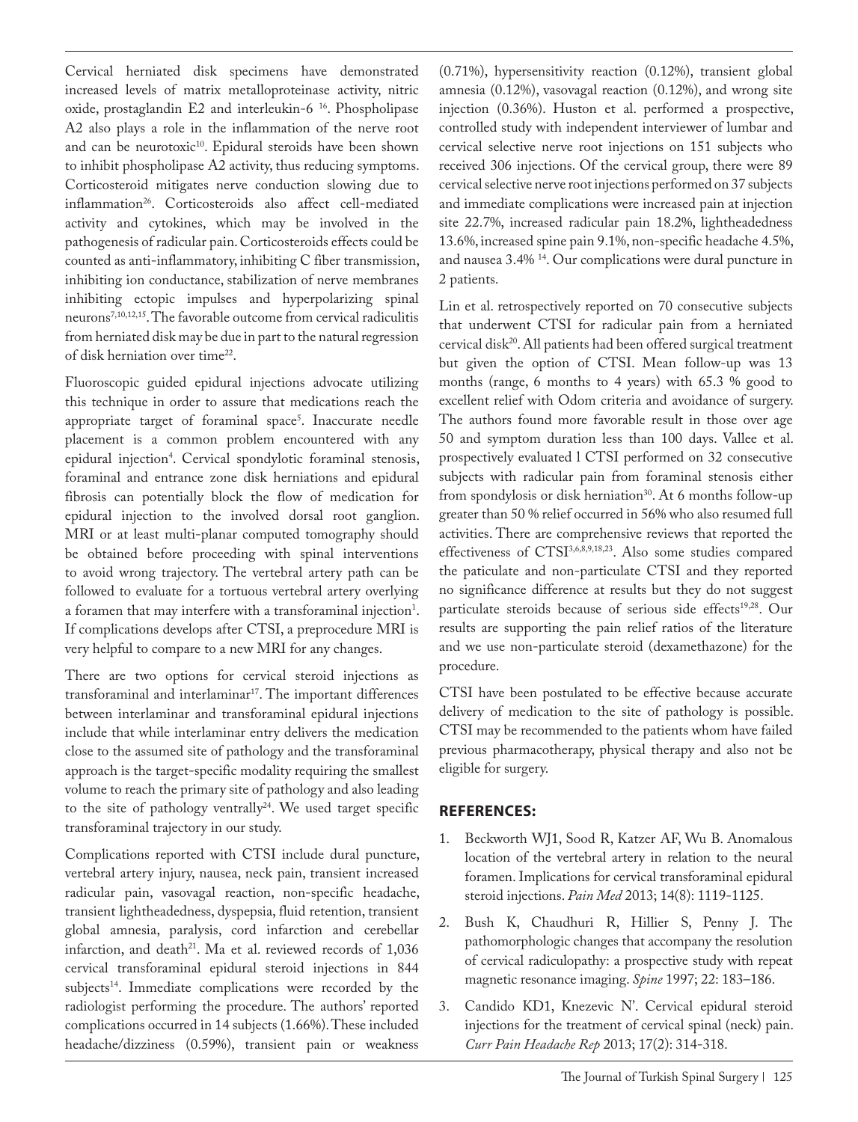Cervical herniated disk specimens have demonstrated increased levels of matrix metalloproteinase activity, nitric oxide, prostaglandin E2 and interleukin-6 16. Phospholipase A2 also plays a role in the inflammation of the nerve root and can be neurotoxic<sup>10</sup>. Epidural steroids have been shown to inhibit phospholipase A2 activity, thus reducing symptoms. Corticosteroid mitigates nerve conduction slowing due to inflammation<sup>26</sup>. Corticosteroids also affect cell-mediated activity and cytokines, which may be involved in the pathogenesis of radicular pain. Corticosteroids effects could be counted as anti-inflammatory, inhibiting C fiber transmission, inhibiting ion conductance, stabilization of nerve membranes inhibiting ectopic impulses and hyperpolarizing spinal neurons7,10,12,15. The favorable outcome from cervical radiculitis from herniated disk may be due in part to the natural regression of disk herniation over time22.

Fluoroscopic guided epidural injections advocate utilizing this technique in order to assure that medications reach the appropriate target of foraminal space<sup>5</sup>. Inaccurate needle placement is a common problem encountered with any epidural injection4 . Cervical spondylotic foraminal stenosis, foraminal and entrance zone disk herniations and epidural fibrosis can potentially block the flow of medication for epidural injection to the involved dorsal root ganglion. MRI or at least multi-planar computed tomography should be obtained before proceeding with spinal interventions to avoid wrong trajectory. The vertebral artery path can be followed to evaluate for a tortuous vertebral artery overlying a foramen that may interfere with a transforaminal injection $^1$ . If complications develops after CTSI, a preprocedure MRI is very helpful to compare to a new MRI for any changes.

There are two options for cervical steroid injections as transforaminal and interlaminar<sup>17</sup>. The important differences between interlaminar and transforaminal epidural injections include that while interlaminar entry delivers the medication close to the assumed site of pathology and the transforaminal approach is the target-specific modality requiring the smallest volume to reach the primary site of pathology and also leading to the site of pathology ventrally<sup>24</sup>. We used target specific transforaminal trajectory in our study.

Complications reported with CTSI include dural puncture, vertebral artery injury, nausea, neck pain, transient increased radicular pain, vasovagal reaction, non-specific headache, transient lightheadedness, dyspepsia, fluid retention, transient global amnesia, paralysis, cord infarction and cerebellar infarction, and death<sup>21</sup>. Ma et al. reviewed records of  $1,036$ cervical transforaminal epidural steroid injections in 844 subjects<sup>14</sup>. Immediate complications were recorded by the radiologist performing the procedure. The authors' reported complications occurred in 14 subjects (1.66%). These included headache/dizziness (0.59%), transient pain or weakness

(0.71%), hypersensitivity reaction (0.12%), transient global amnesia (0.12%), vasovagal reaction (0.12%), and wrong site injection (0.36%). Huston et al. performed a prospective, controlled study with independent interviewer of lumbar and cervical selective nerve root injections on 151 subjects who received 306 injections. Of the cervical group, there were 89 cervical selective nerve root injections performed on 37 subjects and immediate complications were increased pain at injection site 22.7%, increased radicular pain 18.2%, lightheadedness 13.6%, increased spine pain 9.1%, non-specific headache 4.5%, and nausea 3.4% 14. Our complications were dural puncture in 2 patients.

Lin et al. retrospectively reported on 70 consecutive subjects that underwent CTSI for radicular pain from a herniated cervical disk20. All patients had been offered surgical treatment but given the option of CTSI. Mean follow-up was 13 months (range, 6 months to 4 years) with 65.3 % good to excellent relief with Odom criteria and avoidance of surgery. The authors found more favorable result in those over age 50 and symptom duration less than 100 days. Vallee et al. prospectively evaluated l CTSI performed on 32 consecutive subjects with radicular pain from foraminal stenosis either from spondylosis or disk herniation<sup>30</sup>. At 6 months follow-up greater than 50 % relief occurred in 56% who also resumed full activities. There are comprehensive reviews that reported the effectiveness of CTSI3,6,8,9,18,23. Also some studies compared the paticulate and non-particulate CTSI and they reported no significance difference at results but they do not suggest particulate steroids because of serious side effects<sup>19,28</sup>. Our results are supporting the pain relief ratios of the literature and we use non-particulate steroid (dexamethazone) for the procedure.

CTSI have been postulated to be effective because accurate delivery of medication to the site of pathology is possible. CTSI may be recommended to the patients whom have failed previous pharmacotherapy, physical therapy and also not be eligible for surgery.

# **REFERENCES:**

- 1. Beckworth WJ1, Sood R, Katzer AF, Wu B. Anomalous location of the vertebral artery in relation to the neural foramen. Implications for cervical transforaminal epidural steroid injections. *Pain Med* 2013; 14(8): 1119-1125.
- 2. Bush K, Chaudhuri R, Hillier S, Penny J. The pathomorphologic changes that accompany the resolution of cervical radiculopathy: a prospective study with repeat magnetic resonance imaging. *Spine* 1997; 22: 183–186.
- 3. Candido KD1, Knezevic N'. Cervical epidural steroid injections for the treatment of cervical spinal (neck) pain. *Curr Pain Headache Rep* 2013; 17(2): 314-318.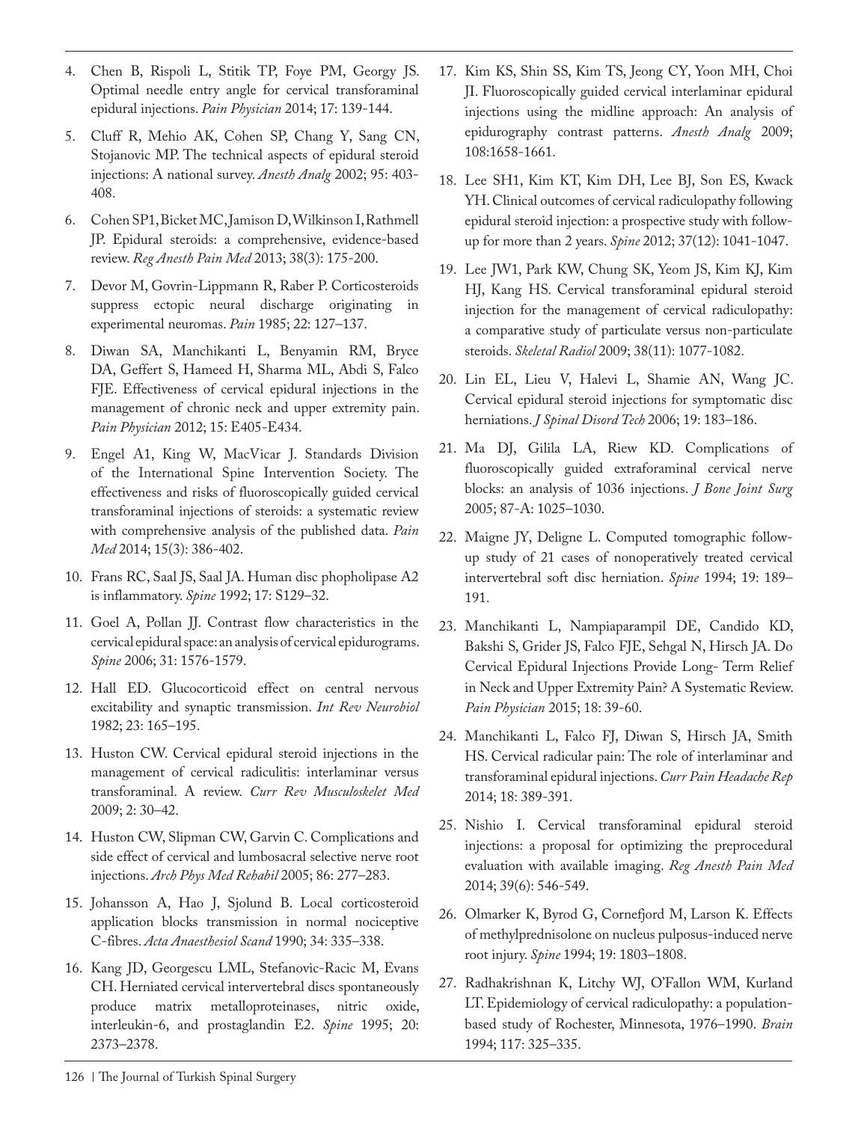- 4. Chen B, Rispoli L, Stitik TP, Foye PM, Georgy JS. Optimal needle entry angle for cervical transforaminal epidural injections. *Pain Physician* 2014; 17: 139-144.
- 5. Cluff R, Mehio AK, Cohen SP, Chang Y, Sang CN, Stojanovic MP. The technical aspects of epidural steroid injections: A national survey. *Anesth Analg* 2002; 95: 403- 408.
- 6. Cohen SP1, Bicket MC, Jamison D, Wilkinson I, Rathmell JP. Epidural steroids: a comprehensive, evidence-based review. *Reg Anesth Pain Med* 2013; 38(3): 175-200.
- 7. Devor M, Govrin-Lippmann R, Raber P. Corticosteroids suppress ectopic neural discharge originating in experimental neuromas. *Pain* 1985; 22: 127–137.
- 8. Diwan SA, Manchikanti L, Benyamin RM, Bryce DA, Geffert S, Hameed H, Sharma ML, Abdi S, Falco FJE. Effectiveness of cervical epidural injections in the management of chronic neck and upper extremity pain. *Pain Physician* 2012; 15: E405-E434.
- 9. Engel A1, King W, MacVicar J. Standards Division of the International Spine Intervention Society. The effectiveness and risks of fluoroscopically guided cervical transforaminal injections of steroids: a systematic review with comprehensive analysis of the published data. *Pain Med* 2014; 15(3): 386-402.
- 10. Frans RC, Saal JS, Saal JA. Human disc phopholipase A2 is inflammatory. *Spine* 1992; 17: S129–32.
- 11. Goel A, Pollan JJ. Contrast flow characteristics in the cervical epidural space: an analysis of cervical epidurograms. *Spine* 2006; 31: 1576-1579.
- 12. Hall ED. Glucocorticoid effect on central nervous excitability and synaptic transmission. *Int Rev Neurobiol* 1982; 23: 165–195.
- 13. Huston CW. Cervical epidural steroid injections in the management of cervical radiculitis: interlaminar versus transforaminal. A review. *Curr Rev Musculoskelet Med* 2009; 2: 30–42.
- 14. Huston CW, Slipman CW, Garvin C. Complications and side effect of cervical and lumbosacral selective nerve root injections. *Arch Phys Med Rehabil* 2005; 86: 277–283.
- 15. Johansson A, Hao J, Sjolund B. Local corticosteroid application blocks transmission in normal nociceptive C-fibres. *Acta Anaesthesiol Scand* 1990; 34: 335–338.
- 16. Kang JD, Georgescu LML, Stefanovic-Racic M, Evans CH. Herniated cervical intervertebral discs spontaneously produce matrix metalloproteinases, nitric oxide, interleukin-6, and prostaglandin E2. *Spine* 1995; 20: 2373–2378.
- 17. Kim KS, Shin SS, Kim TS, Jeong CY, Yoon MH, Choi JI. Fluoroscopically guided cervical interlaminar epidural injections using the midline approach: An analysis of epidurography contrast patterns. *Anesth Analg* 2009; 108:1658-1661.
- 18. Lee SH1, Kim KT, Kim DH, Lee BJ, Son ES, Kwack YH. Clinical outcomes of cervical radiculopathy following epidural steroid injection: a prospective study with followup for more than 2 years. *Spine* 2012; 37(12): 1041-1047.
- 19. Lee JW1, Park KW, Chung SK, Yeom JS, Kim KJ, Kim HJ, Kang HS. Cervical transforaminal epidural steroid injection for the management of cervical radiculopathy: a comparative study of particulate versus non-particulate steroids. *Skeletal Radiol* 2009; 38(11): 1077-1082.
- 20. Lin EL, Lieu V, Halevi L, Shamie AN, Wang JC. Cervical epidural steroid injections for symptomatic disc herniations. *J Spinal Disord Tech* 2006; 19: 183–186.
- 21. Ma DJ, Gilila LA, Riew KD. Complications of fluoroscopically guided extraforaminal cervical nerve blocks: an analysis of 1036 injections. *J Bone Joint Surg*  2005; 87-A: 1025–1030.
- 22. Maigne JY, Deligne L. Computed tomographic followup study of 21 cases of nonoperatively treated cervical intervertebral soft disc herniation. *Spine* 1994; 19: 189– 191.
- 23. Manchikanti L, Nampiaparampil DE, Candido KD, Bakshi S, Grider JS, Falco FJE, Sehgal N, Hirsch JA. Do Cervical Epidural Injections Provide Long- Term Relief in Neck and Upper Extremity Pain? A Systematic Review. *Pain Physician* 2015; 18: 39-60.
- 24. Manchikanti L, Falco FJ, Diwan S, Hirsch JA, Smith HS. Cervical radicular pain: The role of interlaminar and transforaminal epidural injections. *Curr Pain Headache Rep*  2014; 18: 389-391.
- 25. Nishio I. Cervical transforaminal epidural steroid injections: a proposal for optimizing the preprocedural evaluation with available imaging. *Reg Anesth Pain Med* 2014; 39(6): 546-549.
- 26. Olmarker K, Byrod G, Cornefjord M, Larson K. Effects of methylprednisolone on nucleus pulposus-induced nerve root injury. *Spine* 1994; 19: 1803–1808.
- 27. Radhakrishnan K, Litchy WJ, O'Fallon WM, Kurland LT. Epidemiology of cervical radiculopathy: a populationbased study of Rochester, Minnesota, 1976–1990. *Brain*  1994; 117: 325–335.